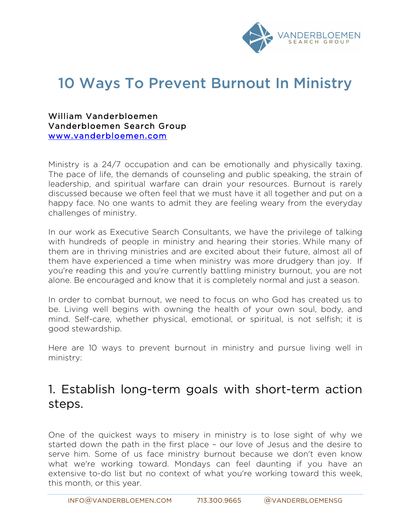

# 10 Ways To Prevent Burnout In Ministry

William Vanderbloemen Vanderbloemen Search Group www.vanderbloemen.com

Ministry is a 24/7 occupation and can be emotionally and physically taxing. The pace of life, the demands of counseling and public speaking, the strain of leadership, and spiritual warfare can drain your resources. Burnout is rarely discussed because we often feel that we must have it all together and put on a happy face. No one wants to admit they are feeling weary from the everyday challenges of ministry.

In our work as Executive Search Consultants, we have the privilege of talking with hundreds of people in ministry and hearing their stories. While many of them are in thriving ministries and are excited about their future, almost all of them have experienced a time when ministry was more drudgery than joy. If you're reading this and you're currently battling ministry burnout, you are not alone. Be encouraged and know that it is completely normal and just a season.

In order to combat burnout, we need to focus on who God has created us to be. Living well begins with owning the health of your own soul, body, and mind. Self-care, whether physical, emotional, or spiritual, is not selfish; it is good stewardship.

Here are 10 ways to prevent burnout in ministry and pursue living well in ministry:

#### 1. Establish long-term goals with short-term action steps.

One of the quickest ways to misery in ministry is to lose sight of why we started down the path in the first place – our love of Jesus and the desire to serve him. Some of us face ministry burnout because we don't even know what we're working toward. Mondays can feel daunting if you have an extensive to-do list but no context of what you're working toward this week, this month, or this year.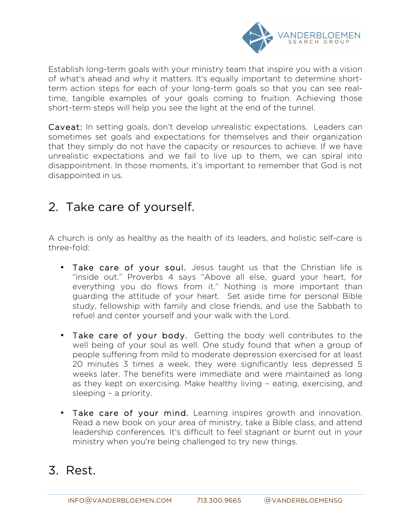

Establish long-term goals with your ministry team that inspire you with a vision of what's ahead and why it matters. It's equally important to determine shortterm action steps for each of your long-term goals so that you can see realtime, tangible examples of your goals coming to fruition. Achieving those short-term steps will help you see the light at the end of the tunnel.

Caveat: In setting goals, don't develop unrealistic expectations. Leaders can sometimes set goals and expectations for themselves and their organization that they simply do not have the capacity or resources to achieve. If we have unrealistic expectations and we fail to live up to them, we can spiral into disappointment. In those moments, it's important to remember that God is not disappointed in us.

#### 2. Take care of yourself.

A church is only as healthy as the health of its leaders, and holistic self-care is three-fold:

- Take care of your soul. Jesus taught us that the Christian life is "inside out." Proverbs 4 says "Above all else, guard your heart, for everything you do flows from it." Nothing is more important than guarding the attitude of your heart. Set aside time for personal Bible study, fellowship with family and close friends, and use the Sabbath to refuel and center yourself and your walk with the Lord.
- Take care of your body. Getting the body well contributes to the well being of your soul as well. One study found that when a group of people suffering from mild to moderate depression exercised for at least 20 minutes 3 times a week, they were significantly less depressed 5 weeks later. The benefits were immediate and were maintained as long as they kept on exercising. Make healthy living – eating, exercising, and sleeping – a priority.
- Take care of your mind. Learning inspires growth and innovation. Read a new book on your area of ministry, take a Bible class, and attend leadership conferences. It's difficult to feel stagnant or burnt out in your ministry when you're being challenged to try new things.

#### 3. Rest.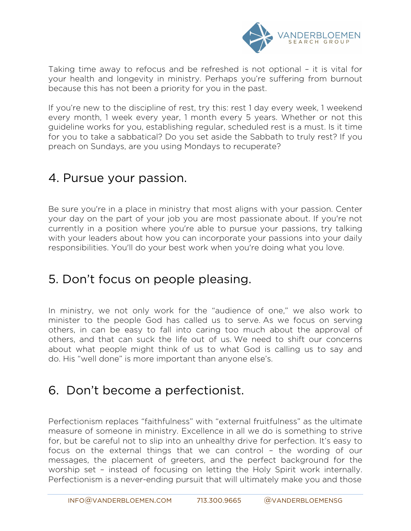

Taking time away to refocus and be refreshed is not optional – it is vital for your health and longevity in ministry. Perhaps you're suffering from burnout because this has not been a priority for you in the past.

If you're new to the discipline of rest, try this: rest 1 day every week, 1 weekend every month, 1 week every year, 1 month every 5 years. Whether or not this guideline works for you, establishing regular, scheduled rest is a must. Is it time for you to take a sabbatical? Do you set aside the Sabbath to truly rest? If you preach on Sundays, are you using Mondays to recuperate?

#### 4. Pursue your passion.

Be sure you're in a place in ministry that most aligns with your passion. Center your day on the part of your job you are most passionate about. If you're not currently in a position where you're able to pursue your passions, try talking with your leaders about how you can incorporate your passions into your daily responsibilities. You'll do your best work when you're doing what you love.

#### 5. Don't focus on people pleasing.

In ministry, we not only work for the "audience of one," we also work to minister to the people God has called us to serve. As we focus on serving others, in can be easy to fall into caring too much about the approval of others, and that can suck the life out of us. We need to shift our concerns about what people might think of us to what God is calling us to say and do. His "well done" is more important than anyone else's.

#### 6. Don't become a perfectionist.

Perfectionism replaces "faithfulness" with "external fruitfulness" as the ultimate measure of someone in ministry. Excellence in all we do is something to strive for, but be careful not to slip into an unhealthy drive for perfection. It's easy to focus on the external things that we can control – the wording of our messages, the placement of greeters, and the perfect background for the worship set – instead of focusing on letting the Holy Spirit work internally. Perfectionism is a never-ending pursuit that will ultimately make you and those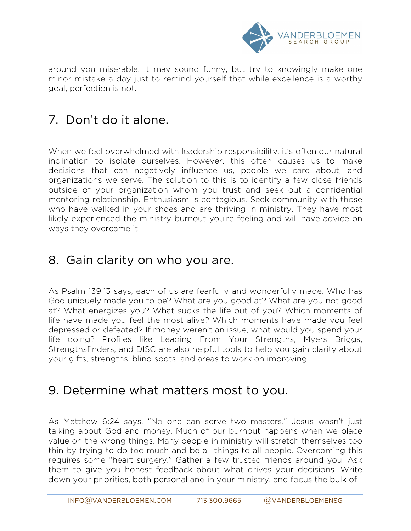

around you miserable. It may sound funny, but try to knowingly make one minor mistake a day just to remind yourself that while excellence is a worthy goal, perfection is not.

## 7. Don't do it alone.

When we feel overwhelmed with leadership responsibility, it's often our natural inclination to isolate ourselves. However, this often causes us to make decisions that can negatively influence us, people we care about, and organizations we serve. The solution to this is to identify a few close friends outside of your organization whom you trust and seek out a confidential mentoring relationship. Enthusiasm is contagious. Seek community with those who have walked in your shoes and are thriving in ministry. They have most likely experienced the ministry burnout you're feeling and will have advice on ways they overcame it.

#### 8. Gain clarity on who you are.

As Psalm 139:13 says, each of us are fearfully and wonderfully made. Who has God uniquely made you to be? What are you good at? What are you not good at? What energizes you? What sucks the life out of you? Which moments of life have made you feel the most alive? Which moments have made you feel depressed or defeated? If money weren't an issue, what would you spend your life doing? Profiles like Leading From Your Strengths, Myers Briggs, Strengthsfinders, and DISC are also helpful tools to help you gain clarity about your gifts, strengths, blind spots, and areas to work on improving.

#### 9. Determine what matters most to you.

As Matthew 6:24 says, "No one can serve two masters." Jesus wasn't just talking about God and money. Much of our burnout happens when we place value on the wrong things. Many people in ministry will stretch themselves too thin by trying to do too much and be all things to all people. Overcoming this requires some "heart surgery." Gather a few trusted friends around you. Ask them to give you honest feedback about what drives your decisions. Write down your priorities, both personal and in your ministry, and focus the bulk of